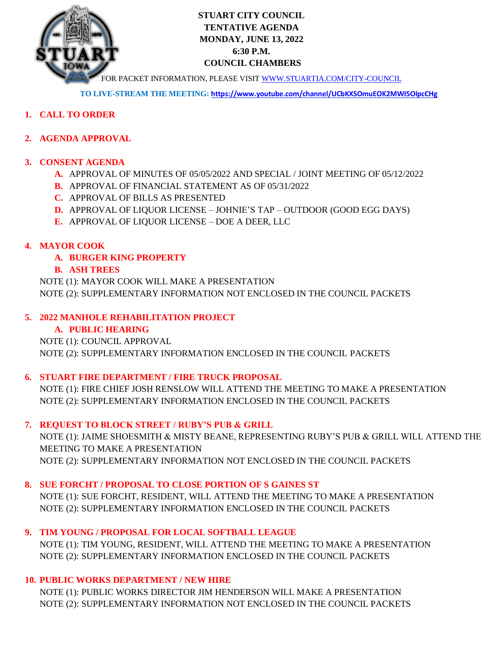

# **STUART CITY COUNCIL TENTATIVE AGENDA MONDAY, JUNE 13, 2022 6:30 P.M. COUNCIL CHAMBERS**

FOR PACKET INFORMATION, PLEASE VISI[T WWW.STUARTIA.COM/CITY-COUNCIL](http://www.stuartia.com/CITY-COUNCIL)

**TO LIVE-STREAM THE MEETING: <https://www.youtube.com/channel/UCbKXSOmuEOK2MWI5OlpcCHg>**

- **1. CALL TO ORDER**
- **2. AGENDA APPROVAL**

## **3. CONSENT AGENDA**

- **A.** APPROVAL OF MINUTES OF 05/05/2022 AND SPECIAL / JOINT MEETING OF 05/12/2022
- **B.** APPROVAL OF FINANCIAL STATEMENT AS OF 05/31/2022
- **C.** APPROVAL OF BILLS AS PRESENTED
- **D.** APPROVAL OF LIQUOR LICENSE JOHNIE'S TAP OUTDOOR (GOOD EGG DAYS)
- **E.** APPROVAL OF LIQUOR LICENSE DOE A DEER, LLC

## **4. MAYOR COOK**

**A. BURGER KING PROPERTY**

## **B. ASH TREES**

NOTE (1): MAYOR COOK WILL MAKE A PRESENTATION NOTE (2): SUPPLEMENTARY INFORMATION NOT ENCLOSED IN THE COUNCIL PACKETS

## **5. 2022 MANHOLE REHABILITATION PROJECT**

# **A. PUBLIC HEARING**

NOTE (1): COUNCIL APPROVAL NOTE (2): SUPPLEMENTARY INFORMATION ENCLOSED IN THE COUNCIL PACKETS

# **6. STUART FIRE DEPARTMENT / FIRE TRUCK PROPOSAL**

NOTE (1): FIRE CHIEF JOSH RENSLOW WILL ATTEND THE MEETING TO MAKE A PRESENTATION NOTE (2): SUPPLEMENTARY INFORMATION ENCLOSED IN THE COUNCIL PACKETS

# **7. REQUEST TO BLOCK STREET / RUBY'S PUB & GRILL**

NOTE (1): JAIME SHOESMITH & MISTY BEANE, REPRESENTING RUBY'S PUB & GRILL WILL ATTEND THE MEETING TO MAKE A PRESENTATION NOTE (2): SUPPLEMENTARY INFORMATION NOT ENCLOSED IN THE COUNCIL PACKETS

#### **8. SUE FORCHT / PROPOSAL TO CLOSE PORTION OF S GAINES ST**

NOTE (1): SUE FORCHT, RESIDENT, WILL ATTEND THE MEETING TO MAKE A PRESENTATION NOTE (2): SUPPLEMENTARY INFORMATION ENCLOSED IN THE COUNCIL PACKETS

**9. TIM YOUNG / PROPOSAL FOR LOCAL SOFTBALL LEAGUE** NOTE (1): TIM YOUNG, RESIDENT, WILL ATTEND THE MEETING TO MAKE A PRESENTATION NOTE (2): SUPPLEMENTARY INFORMATION ENCLOSED IN THE COUNCIL PACKETS

# **10. PUBLIC WORKS DEPARTMENT / NEW HIRE**

NOTE (1): PUBLIC WORKS DIRECTOR JIM HENDERSON WILL MAKE A PRESENTATION NOTE (2): SUPPLEMENTARY INFORMATION NOT ENCLOSED IN THE COUNCIL PACKETS